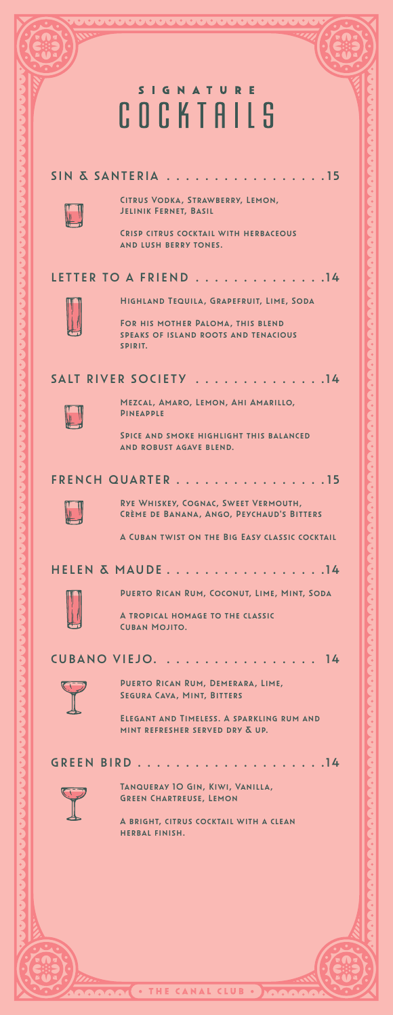## **SIGNATURE** COCKTAILS SIN & SANTERIA . . . . . . . . . . . . . . . . 15 Citrus Vodka, Strawberry, Lemon, Jelinik Fernet, Basil Crisp citrus cocktail with herbaceous and lush berry tones. LETTER TO A FRIEND . . . . . . . . . . . . . . 14 Highland Tequila, Grapefruit, Lime, Soda For his mother Paloma, this blend speaks of island roots and tenacious spirit. SALT RIVER SOCIETY . . . . . . . . . . . . . . 14 Mezcal, Amaro, Lemon, Ahi Amarillo, Pineapple Spice and smoke highlight this balanced and robust agave blend. FRENCH QUARTER . . . . . . . . . . . . . . . 15 Rye Whiskey, Cognac, Sweet Vermouth, Crème de Banana, Ango, Peychaud's Bitters A Cuban twist on the Big Easy classic cocktail HELEN & MAUDE . . . . . . . . . . . . . . . . 14 Puerto Rican Rum, Coconut, Lime, Mint, Soda A tropical homage to the classic Cuban Mojito. CUBANO VIEJO. . . . . . . . . . . . . . . . . 14 Puerto Rican Rum, Demerara, Lime, Segura Cava, Mint, Bitters Elegant and Timeless. A sparkling rum and mint refresher served dry & up. GREEN BIRD . . . . . . . . . . . . . . . . . . . 14 Tanqueray 10 Gin, Kiwi, Vanilla, Green Chartreuse, Lemon A bright, citrus cocktail with a clean herbal finish.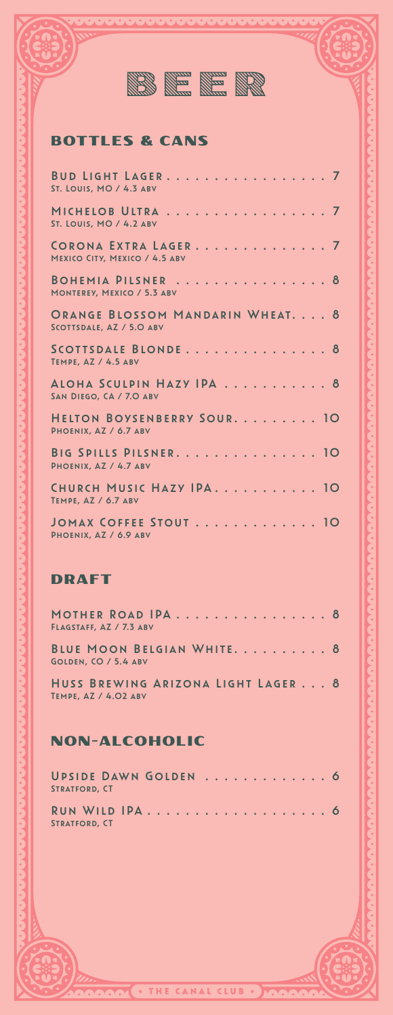

#### BOTTLES & CANS

| BUD LIGHT LAGER. 7<br><b>ST. LOUIS, MO / 4.3 ABV</b>         |
|--------------------------------------------------------------|
| MICHELOB ULTRA 7<br>ST. LOUIS, MO / 4.2 ABV                  |
| CORONA EXTRA LAGER 7<br>MEXICO CITY, MEXICO / 4.5 ABV        |
| BOHEMIA PILSNER 8<br>MONTEREY, MEXICO / 5.3 ABV              |
| ORANGE BLOSSOM MANDARIN WHEAT. 8<br>SCOTTSDALE, AZ / 5.0 ABV |
| SCOTTSDALE BLONDE 8<br>TEMPE, AZ / 4.5 ABV                   |
| ALOHA SCULPIN HAZY IPA 8<br>SAN DIEGO, CA / 7.0 ABV          |
| HELTON BOYSENBERRY SOUR. 10<br>PHOENIX, AZ / 6.7 ABV         |
| BIG SPILLS PILSNER. 10<br>PHOENIX, AZ / 4.7 ABV              |
| CHURCH MUSIC HAZY IPA. 10<br>TEMPE, AZ / 6.7 ABV             |
| JOMAX COFFEE STOUT 10<br>PHOENIX, AZ / 6.9 ABV               |

#### DRAFT

| MOTHER ROAD IPA 8<br>FLAGSTAFF, AZ / 7.3 ABV               |  |
|------------------------------------------------------------|--|
| BLUE MOON BELGIAN WHITE. 8<br>GOLDEN, CO / 5.4 ABV         |  |
| HUSS BREWING ARIZONA LIGHT LAGER 8<br>TEMPE, AZ / 4.02 ABV |  |

#### NON-ALCOHOLIC

| UPSIDE DAWN GOLDEN  6<br><b>STRATFORD, CT</b> |  |  |  |  |  |  |  |  |  |  |  |
|-----------------------------------------------|--|--|--|--|--|--|--|--|--|--|--|
| <b>STRATFORD, CT</b>                          |  |  |  |  |  |  |  |  |  |  |  |

THE CANAL CLUB .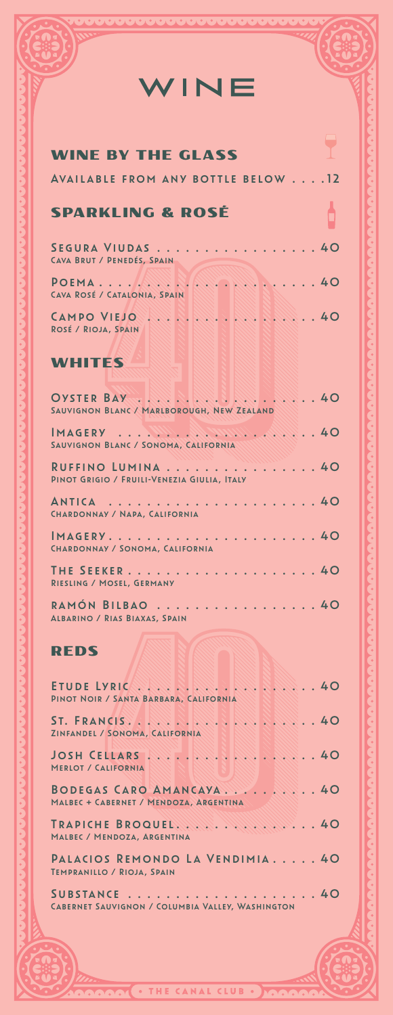#### INE  $\overline{\mathsf{W}}$

| <b>WINE BY THE GLASS</b>                                         |  |
|------------------------------------------------------------------|--|
| AVAILABLE FROM ANY BOTTLE BELOW 12                               |  |
| <b>SPARKLING &amp; ROSÉ</b>                                      |  |
| SEGURA VIUDAS 40<br>CAVA BRUT / PENEDÉS, SPAIN                   |  |
| $POEMA \ldots \ldots \ldots$<br>CAVA ROSÉ / CATALONIA, SPAIN     |  |
| ROSÉ / RIOJA, SPAIN                                              |  |
| <b>WHITES</b>                                                    |  |
| SAUVIGNON BLANC / MARLBOROUGH, NEW ZEALAND                       |  |
| SAUVIGNON BLANC / SONOMA, CALIFORNIA                             |  |
| RUFFINO LUMINA 40<br>PINOT GRIGIO / FRUILI-VENEZIA GIULIA, ITALY |  |
| CHARDONNAY / NAPA, CALIFORNIA                                    |  |
| CHARDONNAY / SONOMA, CALIFORNIA                                  |  |
| RIESLING / MOSEL, GERMANY                                        |  |
| RAMÓN BILBAO 40<br>ALBARINO / RIAS BIAXAS, SPAIN                 |  |
| <b>REDS</b>                                                      |  |
| PINOT NOIR / SANTA BARBARA, CALIFORNIA                           |  |
| ZINFANDEL / SONOMA, CALIFORNIA                                   |  |
| <b>MERLOT / CALIFORNIA</b>                                       |  |
| MALBEC + CABERNET / MENDOZA, ARGENTINA                           |  |
| MALBEC / MENDOZA, ARGENTINA                                      |  |
| PALACIOS REMONDO LA VENDIMIA 40<br>TEMPRANILLO / RIOJA, SPAIN    |  |
| CABERNET SAUVIGNON / COLUMBIA VALLEY, WASHINGTON                 |  |

**NA** 

**CLU**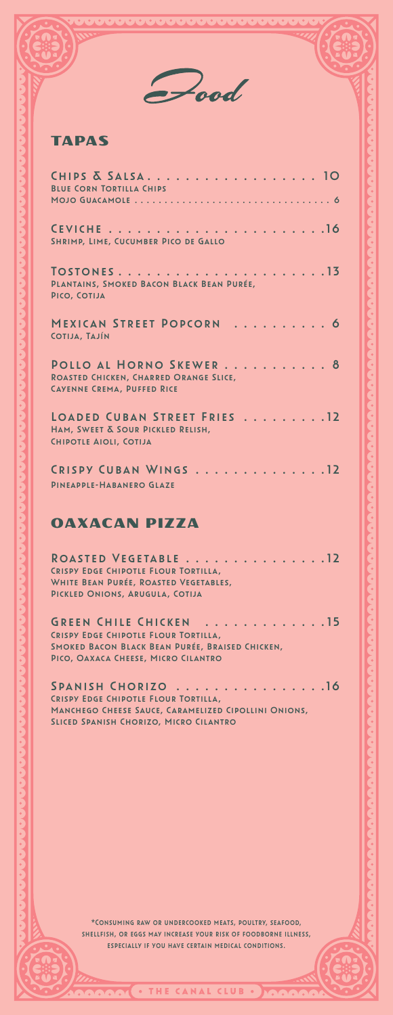Pood

#### TAPAS

| CHIPS & SALSA 10<br><b>BLUE CORN TORTILLA CHIPS</b>                                                                                                      |
|----------------------------------------------------------------------------------------------------------------------------------------------------------|
| SHRIMP, LIME, CUCUMBER PICO DE GALLO                                                                                                                     |
| PLANTAINS, SMOKED BACON BLACK BEAN PURÉE,<br>PICO, COTIJA                                                                                                |
| MEXICAN STREET POPCORN  6<br>COTIJA, TAJÍN                                                                                                               |
| POLLO AL HORNO SKEWER 8<br><b>ROASTED CHICKEN, CHARRED ORANGE SLICE,</b><br><b>CAYENNE CREMA, PUFFED RICE</b>                                            |
| LOADED CUBAN STREET FRIES 12<br>HAM, SWEET & SOUR PICKLED RELISH,<br>CHIPOTLE AIOLI, COTIJA                                                              |
| CRISPY CUBAN WINGS 12<br><b>PINEAPPLE-HABANERO GLAZE</b>                                                                                                 |
| <b>OAXACAN PIZZA</b>                                                                                                                                     |
| ROASTED VEGETABLE 12<br>CRISPY EDGE CHIPOTLE FLOUR TORTILLA,<br>WHITE BEAN PURÉE, ROASTED VEGETABLES,<br>PICKLED ONIONS, ARUGULA, COTIJA                 |
| GREEN CHILE CHICKEN 15<br>CRISPY EDGE CHIPOTLE FLOUR TORTILLA.<br>SMOKED BACON BLACK BEAN PURÉE, BRAISED CHICKEN,<br>PICO, OAXACA CHEESE, MICRO CILANTRO |

SPANISH CHORIZO . . . . . . . . . . . . . . . . 16 Crispy Edge Chipotle Flour Tortilla, Manchego Cheese Sauce, Caramelized Cipollini Onions, Sliced Spanish Chorizo, Micro Cilantro

> \*Consuming raw or undercooked meats, poultry, seafood, shellfish, or eggs may increase your risk of foodborne illness, especially if you have certain medical conditions.

> > THE CANAL CLUB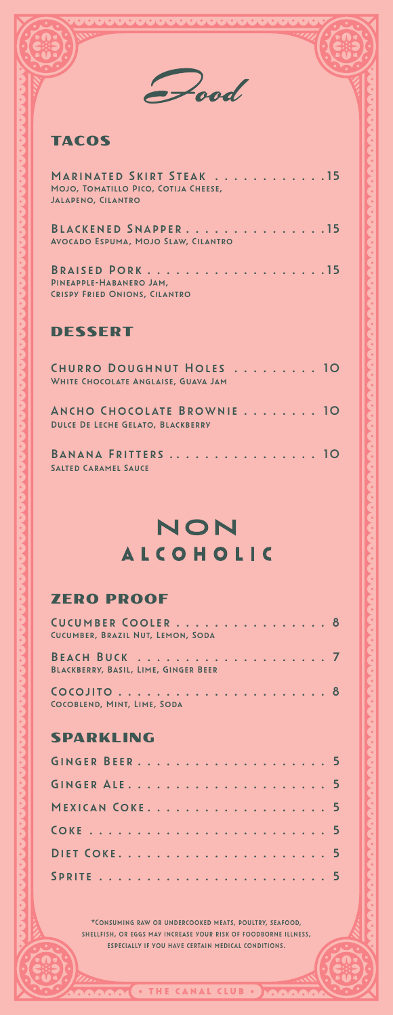#### TACOS

| MARINATED SKIRT STEAK 15<br>MOJO, TOMATILLO PICO, COTIJA CHEESE,<br><b>JALAPENO, CILANTRO</b> |  |  |  |  |  |
|-----------------------------------------------------------------------------------------------|--|--|--|--|--|
| BLACKENED SNAPPER15<br><b>AVOCADO ESPUMA, MOJO SLAW, CILANTRO</b>                             |  |  |  |  |  |
| PINEAPPLE-HABANERO JAM.<br><b>CRISPY FRIED ONIONS, CILANTRO</b>                               |  |  |  |  |  |

#### DESSERT

| CHURRO DOUGHNUT HOLES 10<br>WHITE CHOCOLATE ANGLAISE, GUAVA JAM        |  |
|------------------------------------------------------------------------|--|
| ANCHO CHOCOLATE BROWNIE 10<br><b>DULCE DE LECHE GELATO, BLACKBERRY</b> |  |
| BANANA FRITTERS  10<br><b>SALTED CARAMEL SAUCE</b>                     |  |

# NON **ALCOHOLIC**

#### ZERO PROOF

| CUCUMBER COOLER 8<br>CUCUMBER, BRAZIL NUT, LEMON, SODA |
|--------------------------------------------------------|
| BLACKBERRY, BASIL, LIME, GINGER BEER                   |
| COCOBLEND, MINT, LIME, SODA                            |
| SPARKLING                                              |
|                                                        |
|                                                        |
| MEXICAN COKE 5                                         |
|                                                        |
|                                                        |
|                                                        |

\*Consuming raw or undercooked meats, poultry, seafood, shellfish, or eggs may increase your risk of foodborne illness, especially if you have certain medical conditions.

THE CANAL CLUB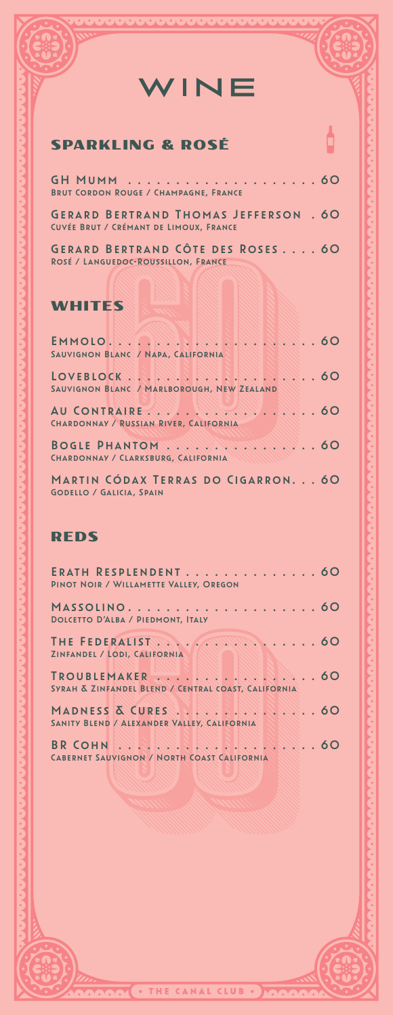# WINE

### SPARKLING & ROSÉ

ROSÉ / LANGUEDOC-ROUSSILLON, FRANCE

| <b>BRUT CORDON ROUGE / CHAMPAGNE, FRANCE</b>                                           |  |
|----------------------------------------------------------------------------------------|--|
| <b>GERARD BERTRAND THOMAS JEFFERSON . 60</b><br>CUVÉE BRUT / CRÉMANT DE LIMOUX, FRANCE |  |
| <b>GERARD BERTRAND CÔTE DES ROSES 60</b>                                               |  |

#### WHITES

| EMMOLO . ANNE . ANNE . ANNE . ANNE 60                                 |
|-----------------------------------------------------------------------|
| SAUVIGNON BLANC / NAPA, CALIFORNIA                                    |
|                                                                       |
| SAUVIGNON BLANC / MARLBOROUGH, NEW ZEALAND                            |
| CHARDONNAY / RUSSIAN RIVER, CALIFORNIA                                |
| BOGLE PHANTOM 60<br>CHARDONNAY / CLARKSBURG, CALIFORNIA               |
| MARTIN CÓDAX TERRAS DO CIGARRON 60<br><b>GODELLO / GALICIA, SPAIN</b> |

#### REDS

| ERATH RESPLENDENT 60<br>PINOT NOIR / WILLAMETTE VALLEY, OREGON                                           |
|----------------------------------------------------------------------------------------------------------|
| <b>DOLCETTO D'ALBA / PIEDMONT, ITALY</b>                                                                 |
| ZINFANDEL / LODI, CALIFORNIA                                                                             |
| SYRAH & ZINFANDEL BLEND / CENTRAL COAST, CALIFORNIA                                                      |
| SANITY BLEND / ALEXANDER VALLEY, CALIFORNIA                                                              |
| <b>BR COHN AND PURSED AND PURSED AND PURSED ASSOCIATE</b><br>CABERNET SAUVIGNON / NORTH COAST CALIFORNIA |

THE CANAL CLUB

Ò